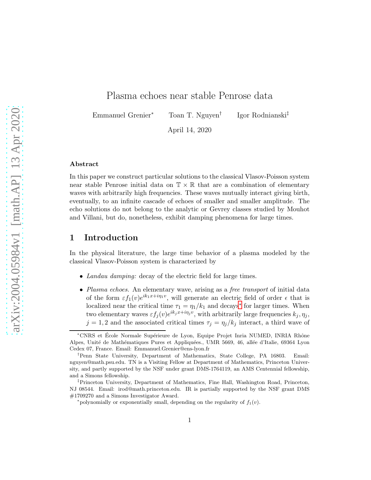## Plasma echoes near stable Penrose data

Emmanuel Grenier<sup>∗</sup> Toan T. Nguyen†

Igor Rodnianski‡

April 14, 2020

#### Abstract

In this paper we construct particular solutions to the classical Vlasov-Poisson system near stable Penrose initial data on  $\mathbb{T} \times \mathbb{R}$  that are a combination of elementary waves with arbitrarily high frequencies. These waves mutually interact giving birth, eventually, to an infinite cascade of echoes of smaller and smaller amplitude. The echo solutions do not belong to the analytic or Gevrey classes studied by Mouhot and Villani, but do, nonetheless, exhibit damping phenomena for large times.

## 1 Introduction

In the physical literature, the large time behavior of a plasma modeled by the classical Vlasov-Poisson system is characterized by

- Landau damping: decay of the electric field for large times.
- Plasma echoes. An elementary wave, arising as a free transport of initial data of the form  $\varepsilon f_1(v)e^{ik_1x+i\eta_1v}$ , will generate an electric field of order  $\epsilon$  that is localized near the critical time  $\tau_1 = \eta_1/k_1$  and decays<sup>\*</sup> for larger times. When two elementary waves  $\varepsilon f_j(v)e^{ik_jx+i\eta_jv}$ , with arbitrarily large frequencies  $k_j, \eta_j$ ,  $j = 1, 2$  and the associated critical times  $\tau_j = \eta_j / k_j$  interact, a third wave of

<sup>\*</sup>CNRS et École Normale Supérieure de Lyon, Equipe Projet Inria NUMED, INRIA Rhône Alpes, Unité de Mathématiques Pures et Appliquées., UMR 5669, 46, allée d'Italie, 69364 Lyon Cedex 07, France. Email: Emmanuel.Grenier@ens-lyon.fr

<sup>†</sup>Penn State University, Department of Mathematics, State College, PA 16803. Email: nguyen@math.psu.edu. TN is a Visiting Fellow at Department of Mathematics, Princeton University, and partly supported by the NSF under grant DMS-1764119, an AMS Centennial fellowship, and a Simons fellowship.

<sup>‡</sup>Princeton University, Department of Mathematics, Fine Hall, Washington Road, Princeton, NJ 08544. Email: irod@math.princeton.edu. IR is partially supported by the NSF grant DMS #1709270 and a Simons Investigator Award.

<span id="page-0-0"></span><sup>\*</sup>polynomially or exponentially small, depending on the regularity of  $f_1(v)$ .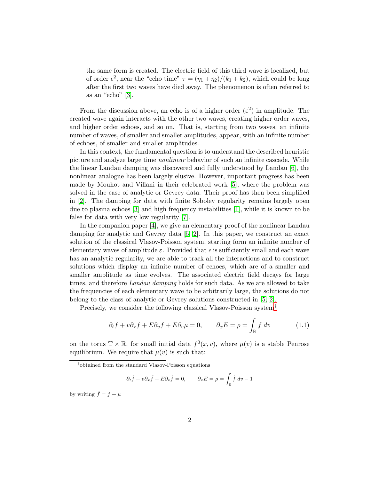the same form is created. The electric field of this third wave is localized, but of order  $\epsilon^2$ , near the "echo time"  $\tau = (\eta_1 + \eta_2)/(k_1 + k_2)$ , which could be long after the first two waves have died away. The phenomenon is often referred to as an "echo" [\[3\]](#page-15-0).

From the discussion above, an echo is of a higher order  $(\varepsilon^2)$  in amplitude. The created wave again interacts with the other two waves, creating higher order waves, and higher order echoes, and so on. That is, starting from two waves, an infinite number of waves, of smaller and smaller amplitudes, appear, with an infinite number of echoes, of smaller and smaller amplitudes.

In this context, the fundamental question is to understand the described heuristic picture and analyze large time nonlinear behavior of such an infinite cascade. While the linear Landau damping was discovered and fully understood by Landau [\[6\]](#page-15-1), the nonlinear analogue has been largely elusive. However, important progress has been made by Mouhot and Villani in their celebrated work [\[5\]](#page-15-2), where the problem was solved in the case of analytic or Gevrey data. Their proof has then been simplified in [\[2\]](#page-15-3). The damping for data with finite Sobolev regularity remains largely open due to plasma echoes [\[3\]](#page-15-0) and high frequency instabilities [\[1\]](#page-15-4), while it is known to be false for data with very low regularity [\[7\]](#page-15-5).

In the companion paper [\[4\]](#page-15-6), we give an elementary proof of the nonlinear Landau damping for analytic and Gevrey data [\[5,](#page-15-2) [2\]](#page-15-3). In this paper, we construct an exact solution of the classical Vlasov-Poisson system, starting form an infinite number of elementary waves of amplitude  $\varepsilon$ . Provided that  $\epsilon$  is sufficiently small and each wave has an analytic regularity, we are able to track all the interactions and to construct solutions which display an infinite number of echoes, which are of a smaller and smaller amplitude as time evolves. The associated electric field decays for large times, and therefore Landau damping holds for such data. As we are allowed to take the frequencies of each elementary wave to be arbitrarily large, the solutions do not belong to the class of analytic or Gevrey solutions constructed in [\[5,](#page-15-2) [2\]](#page-15-3).

Precisely, we consider the following classical Vlasov-Poisson system[†](#page-1-0)

<span id="page-1-1"></span>
$$
\partial_t f + v \partial_x f + E \partial_v f + E \partial_v \mu = 0, \qquad \partial_x E = \rho = \int_{\mathbb{R}} f \, dv \tag{1.1}
$$

on the torus  $\mathbb{T} \times \mathbb{R}$ , for small initial data  $f^{0}(x, v)$ , where  $\mu(v)$  is a stable Penrose equilibrium. We require that  $\mu(v)$  is such that:

$$
\partial_t \tilde{f} + v \partial_x \tilde{f} + E \partial_v \tilde{f} = 0, \qquad \partial_x E = \rho = \int_{\mathbb{R}} \tilde{f} dv - 1
$$

by writing  $\tilde{f} = f + \mu$ 

<span id="page-1-0"></span><sup>†</sup> obtained from the standard Vlasov-Poisson equations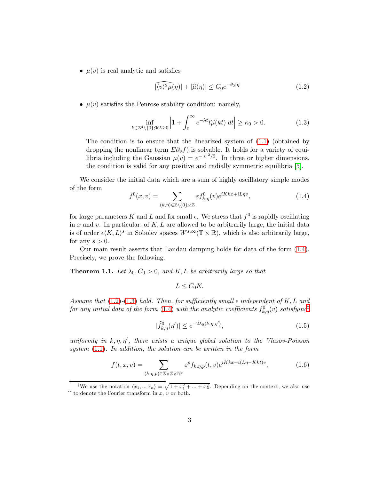•  $\mu(v)$  is real analytic and satisfies

<span id="page-2-1"></span>
$$
|\widehat{\langle v \rangle^2 \mu}(\eta)| + |\widehat{\mu}(\eta)| \le C_0 e^{-\theta_0 |\eta|} \tag{1.2}
$$

•  $\mu(v)$  satisfies the Penrose stability condition: namely,

<span id="page-2-2"></span>
$$
\inf_{k \in \mathbb{Z}^d \setminus \{0\}; \Re \lambda \ge 0} \left| 1 + \int_0^\infty e^{-\lambda t} t \widehat{\mu}(kt) \, dt \right| \ge \kappa_0 > 0. \tag{1.3}
$$

The condition is to ensure that the linearized system of [\(1.1\)](#page-1-1) (obtained by dropping the nonlinear term  $E\partial_v f$  is solvable. It holds for a variety of equilibria including the Gaussian  $\mu(v) = e^{-|v|^2/2}$ . In three or higher dimensions, the condition is valid for any positive and radially symmetric equilibria [\[5\]](#page-15-2).

We consider the initial data which are a sum of highly oscillatory simple modes of the form

<span id="page-2-0"></span>
$$
f^{0}(x,v) = \sum_{(k,\eta)\in\mathbb{Z}\backslash\{0\}\times\mathbb{Z}} \varepsilon f^{0}_{k,\eta}(v)e^{iKkx+iL\eta v}, \qquad (1.4)
$$

for large parameters K and L and for small  $\epsilon$ . We stress that  $f^0$  is rapidly oscillating in x and v. In particular, of  $K, L$  are allowed to be arbitrarily large, the initial data is of order  $\epsilon \langle K, L \rangle^s$  in Sobolev spaces  $W^{s, \infty}(\mathbb{T} \times \mathbb{R})$ , which is also arbitrarily large, for any  $s > 0$ .

Our main result asserts that Landau damping holds for data of the form [\(1.4\)](#page-2-0). Precisely, we prove the following.

**Theorem 1.1.** Let  $\lambda_0$ ,  $C_0 > 0$ , and K, L be arbitrarily large so that

$$
L \leq C_0 K.
$$

Assume that [\(1.2\)](#page-2-1)-[\(1.3\)](#page-2-2) hold. Then, for sufficiently small  $\epsilon$  independent of K, L and for any initial data of the form [\(1.4\)](#page-2-0) with the analytic coefficients  $f^0_{k,\eta}(v)$  satisfying<sup>†</sup>

<span id="page-2-5"></span>
$$
|\widehat{f}_{k,\eta}^{0}(\eta')| \le e^{-2\lambda_0 \langle k,\eta,\eta' \rangle},\tag{1.5}
$$

uniformly in  $k, \eta, \eta'$ , there exists a unique global solution to the Vlasov-Poisson system [\(1.1\)](#page-1-1). In addition, the solution can be written in the form

<span id="page-2-4"></span>
$$
f(t,x,v) = \sum_{(k,\eta,p)\in\mathbb{Z}\times\mathbb{Z}\times\mathbb{N}^*} \varepsilon^p f_{k,\eta,p}(t,v) e^{iKkx+i(L\eta-Kkt)v},\tag{1.6}
$$

<span id="page-2-3"></span><sup>&</sup>lt;sup>‡</sup>We use the notation  $\langle x_1, ..., x_n \rangle = \sqrt{1 + x_1^2 + ... + x_n^2}$ . Depending on the context, we also use  $\hat{ }$  to denote the Fourier transform in x, v or both.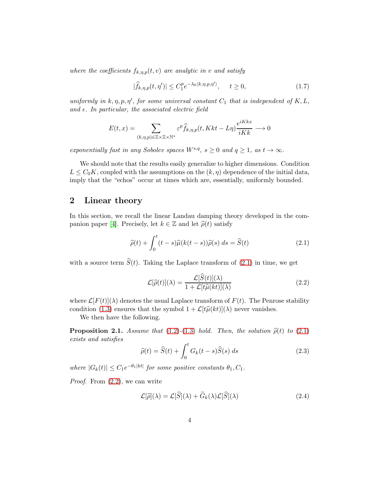where the coefficients  $f_{k,n,p}(t, v)$  are analytic in v and satisfy

$$
|\widehat{f}_{k,\eta,p}(t,\eta')| \le C_1^p e^{-\lambda_0 \langle k,\eta,p,\eta' \rangle}, \quad t \ge 0,
$$
\n(1.7)

uniformly in  $k, \eta, p, \eta'$ , for some universal constant  $C_1$  that is independent of  $K, L$ , and  $\epsilon$ . In particular, the associated electric field

$$
E(t,x) = \sum_{(k,\eta,p)\in\mathbb{Z}\times\mathbb{Z}\times\mathbb{N}^*} \varepsilon^p \widehat{f}_{k,\eta,p}(t,Kkt-L\eta) \frac{e^{iKkx}}{iKk} \longrightarrow 0
$$

exponentially fast in any Sobolev spaces  $W^{s,q}$ ,  $s \geq 0$  and  $q \geq 1$ , as  $t \to \infty$ .

We should note that the results easily generalize to higher dimensions. Condition  $L \leq C_0 K$ , coupled with the assumptions on the  $(k, \eta)$  dependence of the initial data, imply that the "echos" occur at times which are, essentially, uniformly bounded.

## 2 Linear theory

In this section, we recall the linear Landau damping theory developed in the com-panion paper [\[4\]](#page-15-6). Precisely, let  $k \in \mathbb{Z}$  and let  $\hat{\rho}(t)$  satisfy

<span id="page-3-0"></span>
$$
\widehat{\rho}(t) + \int_0^t (t - s)\widehat{\mu}(k(t - s))\widehat{\rho}(s) ds = \widehat{S}(t)
$$
\n(2.1)

with a source term  $\hat{S}(t)$ . Taking the Laplace transform of [\(2.1\)](#page-3-0) in time, we get

<span id="page-3-1"></span>
$$
\mathcal{L}[\hat{\rho}(t)](\lambda) = \frac{\mathcal{L}[\hat{S}(t)](\lambda)}{1 + \mathcal{L}[t\hat{\mu}(kt)](\lambda)}
$$
(2.2)

where  $\mathcal{L}[F(t)](\lambda)$  denotes the usual Laplace transform of  $F(t)$ . The Penrose stability condition [\(1.3\)](#page-2-2) ensures that the symbol  $1 + \mathcal{L}[t\hat{\mu}(kt)](\lambda)$  never vanishes.

We then have the following.

<span id="page-3-3"></span>**Proposition 2.1.** Assume that [\(1.2\)](#page-2-1)-[\(1.3\)](#page-2-2) hold. Then, the solution  $\hat{\rho}(t)$  to [\(2.1\)](#page-3-0) exists and satisfies

<span id="page-3-2"></span>
$$
\widehat{\rho}(t) = \widehat{S}(t) + \int_0^t G_k(t - s)\widehat{S}(s) ds \qquad (2.3)
$$

where  $|G_k(t)| \leq C_1 e^{-\theta_1|kt|}$  for some positive constants  $\theta_1, C_1$ .

Proof. From [\(2.2\)](#page-3-1), we can write

$$
\mathcal{L}[\hat{\rho}](\lambda) = \mathcal{L}[\hat{S}](\lambda) + \tilde{G}_k(\lambda)\mathcal{L}[\hat{S}](\lambda)
$$
\n(2.4)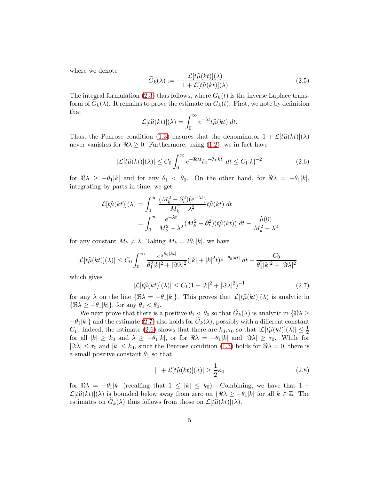where we denote

$$
\widetilde{G}_k(\lambda) := -\frac{\mathcal{L}[t\widehat{\mu}(kt)](\lambda)}{1 + \mathcal{L}[t\widehat{\mu}(kt)](\lambda)}.
$$
\n(2.5)

The integral formulation [\(2.3\)](#page-3-2) thus follows, where  $G_k(t)$  is the inverse Laplace transform of  $G_k(\lambda)$ . It remains to prove the estimate on  $G_k(t)$ . First, we note by definition that

$$
\mathcal{L}[t\widehat{\mu}(kt)](\lambda) = \int_0^\infty e^{-\lambda t} t\widehat{\mu}(kt) dt.
$$

Thus, the Penrose condition [\(1.3\)](#page-2-2) ensures that the denominator  $1 + \mathcal{L}[t\hat{\mu}(kt)](\lambda)$ never vanishes for  $\Re \lambda \geq 0$ . Furthermore, using [\(1.2\)](#page-2-1), we in fact have

<span id="page-4-1"></span>
$$
|\mathcal{L}[t\widehat{\mu}(kt)](\lambda)| \le C_0 \int_0^\infty e^{-\Re\lambda t} t e^{-\theta_0|kt|} dt \le C_1 |k|^{-2}
$$
\n(2.6)

for  $\Re \lambda \geq -\theta_1|k|$  and for any  $\theta_1 < \theta_0$ . On the other hand, for  $\Re \lambda = -\theta_1|k|$ , integrating by parts in time, we get

$$
\mathcal{L}[t\hat{\mu}(kt)](\lambda) = \int_0^\infty \frac{(M_k^2 - \partial_t^2)(e^{-\lambda t})}{M_k^2 - \lambda^2} t\hat{\mu}(kt) dt
$$
  
= 
$$
\int_0^\infty \frac{e^{-\lambda t}}{M_k^2 - \lambda^2} (M_k^2 - \partial_t^2)(t\hat{\mu}(kt)) dt - \frac{\hat{\mu}(0)}{M_k^2 - \lambda^2}
$$

for any constant  $M_k \neq \lambda$ . Taking  $M_k = 2\theta_1|k|$ , we have

$$
|\mathcal{L}[t\widehat{\mu}(kt)](\lambda)| \leq C_0 \int_0^\infty \frac{e^{\frac{1}{2}\theta_0|kt|}}{\theta_1^2|k|^2 + |\Im \lambda|^2} (|k| + |k|^2 t) e^{-\theta_0|kt|} dt + \frac{C_0}{\theta_1^2|k|^2 + |\Im \lambda|^2}
$$

which gives

<span id="page-4-0"></span>
$$
|\mathcal{L}[t\widehat{\mu}(kt)](\lambda)| \le C_1(1+|k|^2+|\Im\lambda|^2)^{-1}.
$$
\n(2.7)

for any  $\lambda$  on the line  $\{\Re \lambda = -\theta_1|k|\}$ . This proves that  $\mathcal{L}[t\hat{\mu}(kt)](\lambda)$  is analytic in  $\{\Re \lambda \geq -\theta_1 |k|\},\$  for any  $\theta_1 < \theta_0$ .

We next prove that there is a positive  $\theta_1 \leq \theta_0$  so that  $G_k(\lambda)$  is analytic in  $\{\Re \lambda \geq \lambda\}$  $-\theta_1|k|$ } and the estimate [\(2.7\)](#page-4-0) also holds for  $G_k(\lambda)$ , possibly with a different constant C<sub>1</sub>. Indeed, the estimate [\(2.6\)](#page-4-1) shows that there are  $k_0, \tau_0$  so that  $|\mathcal{L}[t\hat{\mu}(kt)](\lambda)| \leq \frac{1}{2}$ for all  $|k| \geq k_0$  and  $\lambda \geq -\theta_1 |k|$ , or for  $\Re \lambda = -\theta_1 |k|$  and  $|\Im \lambda| \geq \tau_0$ . While for  $|\Im \lambda| \leq \tau_0$  and  $|k| \leq k_0$ , since the Penrose condition [\(1.3\)](#page-2-2) holds for  $\Re \lambda = 0$ , there is a small positive constant  $\theta_1$  so that

<span id="page-4-2"></span>
$$
|1 + \mathcal{L}[t\hat{\mu}(kt)](\lambda)| \ge \frac{1}{2}\kappa_0
$$
\n(2.8)

for  $\Re \lambda = -\theta_1 |k|$  (recalling that  $1 \leq |k| \leq k_0$ ). Combining, we have that  $1 +$  $\mathcal{L}[\hat{\mu}(kt)](\lambda)$  is bounded below away from zero on  $\{\Re \lambda \geq -\theta_1|k|$  for all  $k \in \mathbb{Z}$ . The estimates on  $G_k(\lambda)$  thus follows from those on  $\mathcal{L}[t\hat{\mu}(kt)](\lambda)$ .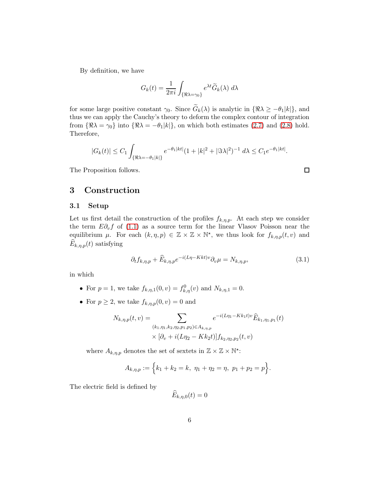By definition, we have

$$
G_k(t) = \frac{1}{2\pi i} \int_{\{\Re \lambda = \gamma_0\}} e^{\lambda t} \widetilde{G}_k(\lambda) d\lambda
$$

for some large positive constant  $\gamma_0$ . Since  $G_k(\lambda)$  is analytic in  $\{\Re \lambda \geq -\theta_1 |k|\}$ , and thus we can apply the Cauchy's theory to deform the complex contour of integration from  $\{\Re \lambda = \gamma_0\}$  into  $\{\Re \lambda = -\theta_1|k|\}$ , on which both estimates [\(2.7\)](#page-4-0) and [\(2.8\)](#page-4-2) hold. Therefore,

$$
|G_k(t)| \le C_1 \int_{\{\Re \lambda = -\theta_1 |k|\}} e^{-\theta_1 |kt|} (1 + |k|^2 + |\Im \lambda|^2)^{-1} d\lambda \le C_1 e^{-\theta_1 |kt|}.
$$

The Proposition follows.

## 3 Construction

#### 3.1 Setup

Let us first detail the construction of the profiles  $f_{k,\eta,p}$ . At each step we consider the term  $E\partial_v f$  of [\(1.1\)](#page-1-1) as a source term for the linear Vlasov Poisson near the equilibrium  $\mu$ . For each  $(k, \eta, p) \in \mathbb{Z} \times \mathbb{Z} \times \mathbb{N}^*$ , we thus look for  $f_{k,\eta,p}(t,v)$  and  $E_{k,\eta,p}(t)$  satisfying

<span id="page-5-0"></span>
$$
\partial_t f_{k,\eta,p} + \widehat{E}_{k,\eta,p} e^{-i(L\eta - Kkt)v} \partial_v \mu = N_{k,\eta,p},\tag{3.1}
$$

 $\Box$ 

in which

- For  $p = 1$ , we take  $f_{k,\eta,1}(0, v) = f_{k,\eta}(v)$  and  $N_{k,\eta,1} = 0$ .
- For  $p \geq 2$ , we take  $f_{k,\eta,p}(0, v) = 0$  and

$$
N_{k,\eta,p}(t,v) = \sum_{(k_1,\eta_1,k_2,\eta_2,p_1,p_2)\in A_{k,\eta,p}} e^{-i(L\eta_1 - Kk_1t)v} \widehat{E}_{k_1,\eta_1,p_1}(t)
$$
  
 
$$
\times [\partial_v + i(L\eta_2 - Kk_2t)] f_{k_2,\eta_2,p_2}(t,v)
$$

where  $A_{k,\eta,p}$  denotes the set of sextets in  $\mathbb{Z}\times\mathbb{Z}\times\mathbb{N}^*$ :

$$
A_{k,\eta,p} := \Big\{ k_1 + k_2 = k, \ \eta_1 + \eta_2 = \eta, \ p_1 + p_2 = p \Big\}.
$$

The electric field is defined by

$$
E_{k,\eta,0}(t)=0
$$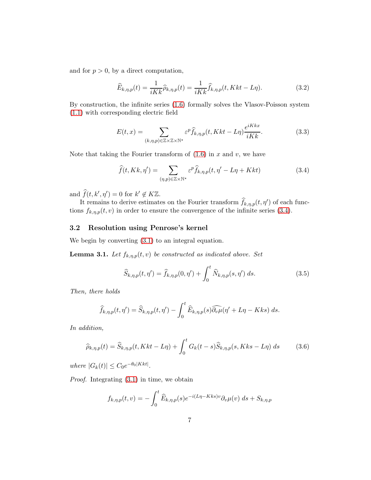and for  $p > 0$ , by a direct computation,

<span id="page-6-1"></span>
$$
\widehat{E}_{k,\eta,p}(t) = \frac{1}{iKk} \widehat{\rho}_{k,\eta,p}(t) = \frac{1}{iKk} \widehat{f}_{k,\eta,p}(t, Kkt - L\eta). \tag{3.2}
$$

By construction, the infinite series [\(1.6\)](#page-2-4) formally solves the Vlasov-Poisson system [\(1.1\)](#page-1-1) with corresponding electric field

$$
E(t,x) = \sum_{(k,\eta,p)\in\mathbb{Z}\times\mathbb{Z}\times\mathbb{N}^*} \varepsilon^p \hat{f}_{k,\eta,p}(t,Kkt-L\eta) \frac{e^{iKkx}}{iKk}.
$$
 (3.3)

Note that taking the Fourier transform of  $(1.6)$  in x and v, we have

<span id="page-6-0"></span>
$$
\widehat{f}(t, Kk, \eta') = \sum_{(\eta, p) \in \mathbb{Z} \times \mathbb{N}^*} \varepsilon^p \widehat{f}_{k, \eta, p}(t, \eta' - L\eta + Kkt)
$$
\n(3.4)

and  $\widehat{f}(t, k', \eta') = 0$  for  $k' \notin K\mathbb{Z}$ .

It remains to derive estimates on the Fourier transform  $\hat{f}_{k,\eta,p}(t,\eta')$  of each functions  $f_{k,\eta,p}(t,v)$  in order to ensure the convergence of the infinite series [\(3.4\)](#page-6-0).

#### 3.2 Resolution using Penrose's kernel

We begin by converting [\(3.1\)](#page-5-0) to an integral equation.

<span id="page-6-3"></span>**Lemma 3.1.** Let  $f_{k,\eta,p}(t,v)$  be constructed as indicated above. Set

<span id="page-6-4"></span>
$$
\widehat{S}_{k,\eta,p}(t,\eta') = \widehat{f}_{k,\eta,p}(0,\eta') + \int_0^t \widehat{N}_{k,\eta,p}(s,\eta') ds.
$$
 (3.5)

Then, there holds

$$
\widehat{f}_{k,\eta,p}(t,\eta') = \widehat{S}_{k,\eta,p}(t,\eta') - \int_0^t \widehat{E}_{k,\eta,p}(s)\widehat{\partial_v\mu}(\eta' + L\eta - Kks) \, ds.
$$

In addition,

<span id="page-6-2"></span>
$$
\widehat{\rho}_{k,\eta,p}(t) = \widehat{S}_{k,\eta,p}(t, Kkt - L\eta) + \int_0^t G_k(t-s)\widehat{S}_{k,\eta,p}(s, Kks - L\eta) ds \qquad (3.6)
$$

where  $|G_k(t)| \leq C_0 e^{-\theta_0|Kkt|}$ .

Proof. Integrating [\(3.1\)](#page-5-0) in time, we obtain

$$
f_{k,\eta,p}(t,v) = -\int_0^t \widehat{E}_{k,\eta,p}(s)e^{-i(L\eta - Kks)v}\partial_v\mu(v) ds + S_{k,\eta,p}
$$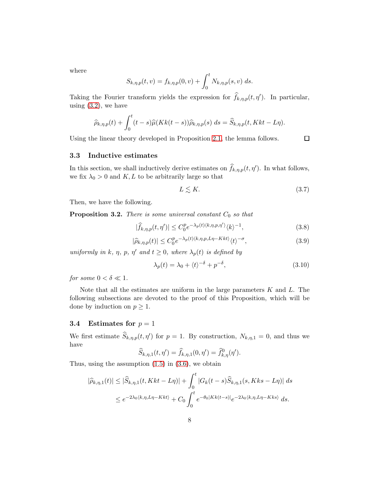where

$$
S_{k,\eta,p}(t,v) = f_{k,\eta,p}(0,v) + \int_0^t N_{k,\eta,p}(s,v) \ ds.
$$

Taking the Fourier transform yields the expression for  $\hat{f}_{k,\eta,p}(t,\eta')$ . In particular, using  $(3.2)$ , we have

$$
\widehat{\rho}_{k,\eta,p}(t) + \int_0^t (t-s)\widehat{\mu}(Kk(t-s))\widehat{\rho}_{k,\eta,p}(s) \ ds = \widehat{S}_{k,\eta,p}(t,Kkt-L\eta).
$$

Using the linear theory developed in Proposition [2.1,](#page-3-3) the lemma follows.

 $\Box$ 

#### 3.3 Inductive estimates

In this section, we shall inductively derive estimates on  $\hat{f}_{k,\eta,p}(t,\eta')$ . In what follows, we fix  $\lambda_0 > 0$  and K, L to be arbitrarily large so that

$$
L \lesssim K.\tag{3.7}
$$

Then, we have the following.

<span id="page-7-2"></span>**Proposition 3.2.** There is some universal constant  $C_0$  so that

<span id="page-7-1"></span>
$$
|\widehat{f}_{k,\eta,p}(t,\eta')| \le C_0^p e^{-\lambda_p(t)\langle k,\eta,p,\eta'\rangle} \langle k\rangle^{-1},\tag{3.8}
$$

<span id="page-7-0"></span>
$$
|\widehat{\rho}_{k,\eta,p}(t)| \le C_0^p e^{-\lambda_p(t)\langle k,\eta,p,L\eta-Kkt\rangle} \langle t\rangle^{-\sigma},\tag{3.9}
$$

uniformly in k,  $\eta$ ,  $p$ ,  $\eta'$  and  $t \geq 0$ , where  $\lambda_p(t)$  is defined by

$$
\lambda_p(t) = \lambda_0 + \langle t \rangle^{-\delta} + p^{-\delta},\tag{3.10}
$$

for some  $0 < \delta \ll 1$ .

Note that all the estimates are uniform in the large parameters  $K$  and  $L$ . The following subsections are devoted to the proof of this Proposition, which will be done by induction on  $p \geq 1$ .

#### 3.4 Estimates for  $p = 1$

We first estimate  $\widehat{S}_{k,\eta,p}(t,\eta')$  for  $p=1$ . By construction,  $N_{k,\eta,1}=0$ , and thus we have

$$
\widehat{S}_{k,\eta,1}(t,\eta')=\widehat{f}_{k,\eta,1}(0,\eta')=\widehat{f}_{k,\eta}^0(\eta').
$$

Thus, using the assumption  $(1.5)$  in  $(3.6)$ , we obtain

$$
|\widehat{\rho}_{k,\eta,1}(t)| \leq |\widehat{S}_{k,\eta,1}(t,Kkt-L\eta)| + \int_0^t |G_k(t-s)\widehat{S}_{k,\eta,1}(s,Kks-L\eta)| ds
$$
  

$$
\leq e^{-2\lambda_0\langle k,\eta, L\eta - Kkt\rangle} + C_0 \int_0^t e^{-\theta_0|Kk(t-s)|} e^{-2\lambda_0\langle k,\eta, L\eta - Kks\rangle} ds.
$$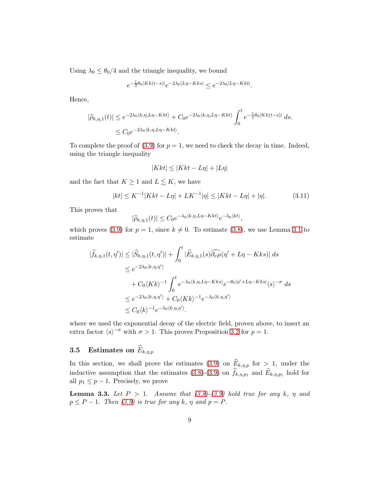Using  $\lambda_0 \leq \theta_0/4$  and the triangle inequality, we bound

$$
e^{-\frac{1}{2}\theta_0|Kk(t-s)|}e^{-2\lambda_0|L\eta-Kks|} \le e^{-2\lambda_0|L\eta-Kkt|}.
$$

Hence,

$$
|\widehat{\rho}_{k,\eta,1}(t)| \le e^{-2\lambda_0 \langle k,\eta, L\eta - Kkt\rangle} + C_0 e^{-2\lambda_0 \langle k,\eta, L\eta - Kkt\rangle} \int_0^t e^{-\frac{1}{2}\theta_0 |Kkt(t-s)|} ds.
$$
  

$$
\le C_0 e^{-2\lambda_0 \langle k,\eta, L\eta - Kkt\rangle}.
$$

To complete the proof of  $(3.9)$  for  $p = 1$ , we need to check the decay in time. Indeed, using the triangle inequality

$$
|Kkt| \le |Kkt - L\eta| + |L\eta|
$$

and the fact that  $K \geq 1$  and  $L \lesssim K$ , we have

<span id="page-8-1"></span>
$$
|kt| \le K^{-1}|Kkt - L\eta| + LK^{-1}|\eta| \le |Kkt - L\eta| + |\eta|.
$$
 (3.11)

This proves that

$$
|\widehat{\rho}_{k,\eta,1}(t)| \leq C_0 e^{-\lambda_0 \langle k,\eta, L\eta - Kkt \rangle} e^{-\lambda_0 \langle kt \rangle},
$$

which proves [\(3.9\)](#page-7-0) for  $p = 1$ , since  $k \neq 0$ . To estimate [\(3.8\)](#page-7-1), we use Lemma [3.1](#page-6-3) to estimate

$$
|\widehat{f}_{k,\eta,1}(t,\eta')| \leq |\widehat{S}_{k,\eta,1}(t,\eta')| + \int_0^t |\widehat{E}_{k,\eta,1}(s)\widehat{\partial_v\mu}(\eta' + L\eta - Kks)| ds
$$
  
\n
$$
\leq e^{-2\lambda_0 \langle k,\eta,\eta' \rangle}
$$
  
\n
$$
+ C_0 \langle Kk \rangle^{-1} \int_0^t e^{-\lambda_0 \langle k,\eta, L\eta - Kks \rangle} e^{-\theta_0 |\eta' + L\eta - Kks|} \langle s \rangle^{-\sigma} ds
$$
  
\n
$$
\leq e^{-2\lambda_0 \langle k,\eta,\eta' \rangle} + C_0 \langle Kk \rangle^{-1} e^{-\lambda_0 \langle k,\eta,\eta' \rangle}
$$
  
\n
$$
\leq C_0 \langle k \rangle^{-1} e^{-\lambda_0 \langle k,\eta,\eta' \rangle}.
$$

where we used the exponential decay of the electric field, proven above, to insert an extra factor  $\langle s \rangle^{-\sigma}$  with  $\sigma > 1$ . This proves Proposition [3.2](#page-7-2) for  $p = 1$ .

# **3.5** Estimates on  $\widehat{E}_{k,\eta,p}$

In this section, we shall prove the estimates [\(3.9\)](#page-7-0) on  $E_{k,\eta,p}$  for  $> 1$ , under the inductive assumption that the estimates  $(3.8)-(3.9)$  $(3.8)-(3.9)$  on  $f_{k,\eta,p_1}$  and  $E_{k,\eta,p_1}$  hold for all  $p_1 \leq p-1$ . Precisely, we prove

<span id="page-8-0"></span>**Lemma 3.3.** Let  $P > 1$ . Assume that  $(3.8)-(3.9)$  $(3.8)-(3.9)$  hold true for any k,  $\eta$  and  $p \le P - 1$ . Then [\(3.9\)](#page-7-0) is true for any k,  $\eta$  and  $p = P$ .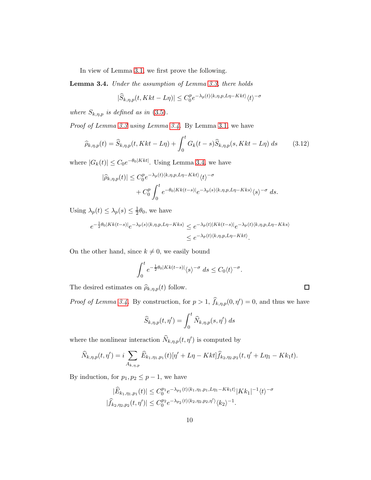In view of Lemma [3.1,](#page-6-3) we first prove the following.

<span id="page-9-0"></span>Lemma 3.4. Under the assumption of Lemma [3.3,](#page-8-0) there holds

$$
|\widehat{S}_{k,\eta,p}(t,Kkt-L\eta)| \le C_0^p e^{-\lambda_p(t)\langle k,\eta,p,L\eta-Kkt\rangle} \langle t \rangle^{-\sigma}
$$

where  $S_{k,\eta,p}$  is defined as in [\(3.5\)](#page-6-4).

Proof of Lemma [3.3](#page-8-0) using Lemma [3.4.](#page-9-0) By Lemma [3.1,](#page-6-3) we have

$$
\widehat{\rho}_{k,\eta,p}(t) = \widehat{S}_{k,\eta,p}(t, Kkt - L\eta) + \int_0^t G_k(t-s)\widehat{S}_{k,\eta,p}(s, Kkt - L\eta) ds \qquad (3.12)
$$

where  $|G_k(t)| \leq C_0 e^{-\theta_0 |Kkt|}$ . Using Lemma [3.4,](#page-9-0) we have

$$
|\widehat{\rho}_{k,\eta,p}(t)| \leq C_0^p e^{-\lambda_p(t)\langle k,\eta,p,L\eta-Kkt\rangle} \langle t\rangle^{-\sigma} + C_0^p \int_0^t e^{-\theta_0|Kk(t-s)|} e^{-\lambda_p(s)\langle k,\eta,p,L\eta-Kks\rangle} \langle s\rangle^{-\sigma} ds.
$$

Using  $\lambda_p(t) \leq \lambda_p(s) \leq \frac{1}{2}$  $\frac{1}{2}\theta_0$ , we have

$$
e^{-\frac{1}{2}\theta_0|Kk(t-s)|}e^{-\lambda_p(s)\langle k,\eta,p,L\eta-Kks\rangle} \leq e^{-\lambda_p(t)|Kk(t-s)|}e^{-\lambda_p(t)\langle k,\eta,p,L\eta-Kks\rangle}
$$
  

$$
\leq e^{-\lambda_p(t)\langle k,\eta,p,L\eta-Kkt\rangle}.
$$

On the other hand, since  $k \neq 0$ , we easily bound

$$
\int_0^t e^{-\frac{1}{2}\theta_0|Kk(t-s)|}\langle s\rangle^{-\sigma} ds \leq C_0 \langle t\rangle^{-\sigma}.
$$

The desired estimates on  $\hat{\rho}_{k,\eta,p}(t)$  follow.

*Proof of Lemma [3.4.](#page-9-0)* By construction, for  $p > 1$ ,  $\hat{f}_{k,\eta,p}(0,\eta') = 0$ , and thus we have

 $\Box$ 

$$
\widehat{S}_{k,\eta,p}(t,\eta') = \int_0^t \widehat{N}_{k,\eta,p}(s,\eta') \, ds
$$

where the nonlinear interaction  $\widehat{N}_{k,\eta,p}(t,\eta')$  is computed by

$$
\widehat{N}_{k,\eta,p}(t,\eta')=i\sum_{A_{k,\eta,p}}\widehat{E}_{k_1,\eta_1,p_1}(t)[\eta'+L\eta-Kkt]\widehat{f}_{k_2,\eta_2,p_2}(t,\eta'+L\eta_1-Kk_1t).
$$

By induction, for  $p_1, p_2 \leq p-1$ , we have

$$
|\widehat{E}_{k_1,\eta_1,p_1}(t)| \leq C_0^{p_1} e^{-\lambda_{p_1}(t)\langle k_1,\eta_1,p_1,L\eta_1 - Kk_1t\rangle} |Kk_1|^{-1} \langle t \rangle^{-\sigma}
$$
  

$$
|\widehat{f}_{k_2,\eta_2,p_2}(t,\eta')| \leq C_0^{p_2} e^{-\lambda_{p_2}(t)\langle k_2,\eta_2,p_2,\eta'\rangle} \langle k_2 \rangle^{-1}.
$$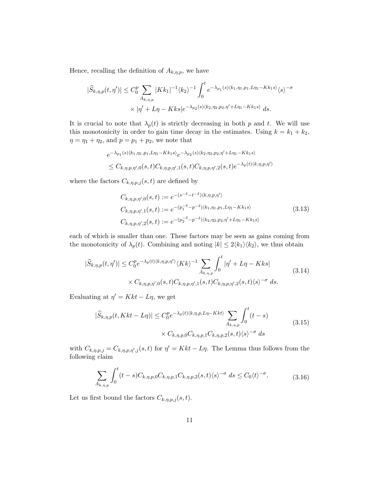Hence, recalling the definition of  $A_{k,\eta,p}$ , we have

$$
|\widehat{S}_{k,\eta,p}(t,\eta')| \leq C_0^p \sum_{A_{k,\eta,p}} |Kk_1|^{-1} \langle k_2 \rangle^{-1} \int_0^t e^{-\lambda_{p_1}(s)\langle k_1,\eta_1,p_1, L\eta_1 - Kk_1s \rangle} \langle s \rangle^{-\sigma}
$$

$$
\times |\eta' + L\eta - Kks|e^{-\lambda_{p_2}(s)\langle k_2,\eta_2,p_2,\eta' + L\eta_1 - Kk_1s \rangle} ds.
$$

It is crucial to note that  $\lambda_p(t)$  is strictly decreasing in both p and t. We will use this monotonicity in order to gain time decay in the estimates. Using  $k = k_1 + k_2$ ,  $\eta = \eta_1 + \eta_2$ , and  $p = p_1 + p_2$ , we note that

$$
e^{-\lambda_{p_1}(s)\langle k_1, \eta_1, p_1, L\eta_1 - Kk_1s \rangle} e^{-\lambda_{p_2}(s)\langle k_2, \eta_2, p_2, \eta' + L\eta_1 - Kk_1s \rangle}
$$
  
\$\leq C\_{k, \eta, p, \eta', 0}(s, t)C\_{k, \eta, p, \eta', 1}(s, t)C\_{k, \eta, p, \eta', 2}(s, t)e^{-\lambda\_p(t)\langle k, \eta, p, \eta' \rangle}\$

where the factors  $C_{k,\eta,p,j}(s,t)$  are defined by

<span id="page-10-0"></span>
$$
C_{k,\eta,p,\eta',0}(s,t) := e^{-(s-\delta-t-\delta)\langle k,\eta,p,\eta' \rangle}
$$
  
\n
$$
C_{k,\eta,p,\eta',1}(s,t) := e^{-(p_1-\delta-\rho-\delta)\langle k_1,\eta_1,p_1, L\eta_1 - Kk_1s \rangle}
$$
  
\n
$$
C_{k,\eta,p,\eta',2}(s,t) := e^{-(p_2-\delta-\rho-\delta)\langle k_2,\eta_2,p_2,\eta' + L\eta_1 - Kk_1s \rangle}
$$
\n(3.13)

each of which is smaller than one. These factors may be seen as gains coming from the monotonicity of  $\lambda_p(t)$ . Combining and noting  $|k| \leq 2 \langle k_1 \rangle \langle k_2 \rangle$ , we thus obtain

<span id="page-10-2"></span>
$$
|\widehat{S}_{k,\eta,p}(t,\eta')| \le C_0^p e^{-\lambda_p(t)\langle k,\eta,p,\eta'\rangle} \langle Kk\rangle^{-1} \sum_{A_{k,\eta,p}} \int_0^t |\eta' + L\eta - Kks| \times C_{k,\eta,p,\eta',0}(s,t) C_{k,\eta,p,\eta',1}(s,t) C_{k,\eta,p,\eta',2}(s,t) \langle s \rangle^{-\sigma} ds.
$$
\n(3.14)

Evaluating at  $\eta' = Kkt - L\eta$ , we get

$$
|\widehat{S}_{k,\eta,p}(t,Kkt-L\eta)| \le C_0^p e^{-\lambda_p(t)\langle k,\eta,p,L\eta-Kkt\rangle} \sum_{A_{k,\eta,p}} \int_0^t (t-s)
$$
  
 
$$
\times C_{k,\eta,p,0} C_{k,\eta,p,1} C_{k,\eta,p,2}(s,t)\langle s\rangle^{-\sigma} ds
$$
 (3.15)

with  $C_{k,\eta,p,j} = C_{k,\eta,p,\eta',j}(s,t)$  for  $\eta' = Kkt - L\eta$ . The Lemma thus follows from the following claim

<span id="page-10-1"></span>
$$
\sum_{A_{k,\eta,p}} \int_0^t (t-s) C_{k,\eta,p,0} C_{k,\eta,p,1} C_{k,\eta,p,2}(s,t) \langle s \rangle^{-\sigma} ds \le C_0 \langle t \rangle^{-\sigma}.
$$
 (3.16)

Let us first bound the factors  $C_{k,\eta,p,j}(s,t)$ .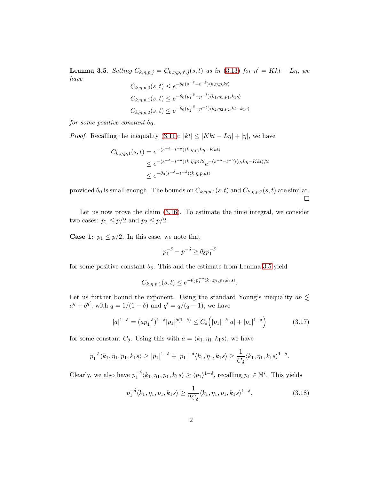<span id="page-11-0"></span>**Lemma 3.5.** Setting  $C_{k,\eta,p,j} = C_{k,\eta,p,\eta',j}(s,t)$  as in [\(3.13\)](#page-10-0) for  $\eta' = Kkt - L\eta$ , we have

$$
C_{k,\eta,p,0}(s,t) \le e^{-\theta_0(s^{-\delta}-t^{-\delta})\langle k,\eta,p,kt\rangle}
$$
  

$$
C_{k,\eta,p,1}(s,t) \le e^{-\theta_0(p_1^{-\delta}-p^{-\delta})\langle k_1,\eta_1,p_1,k_1s\rangle}
$$
  

$$
C_{k,\eta,p,2}(s,t) \le e^{-\theta_0(p_2^{-\delta}-p^{-\delta})\langle k_2,\eta_2,p_2,kt-k_1s\rangle}
$$

for some positive constant  $\theta_0$ .

*Proof.* Recalling the inequality [\(3.11\)](#page-8-1):  $|kt| \leq |Kkt - L\eta| + |\eta|$ , we have

$$
C_{k,\eta,p,1}(s,t) = e^{-(s^{-\delta} - t^{-\delta})\langle k,\eta,p, L\eta - Kkt\rangle}
$$
  
\n
$$
\leq e^{-(s^{-\delta} - t^{-\delta})\langle k,\eta,p\rangle/2} e^{-(s^{-\delta} - t^{-\delta})\langle \eta, L\eta - Kkt\rangle/2}
$$
  
\n
$$
\leq e^{-\theta_0(s^{-\delta} - t^{-\delta})\langle k,\eta,p,kt\rangle}
$$

provided  $\theta_0$  is small enough. The bounds on  $C_{k,\eta,p,1}(s,t)$  and  $C_{k,\eta,p,2}(s,t)$  are similar.  $\Box$ 

Let us now prove the claim [\(3.16\)](#page-10-1). To estimate the time integral, we consider two cases:  $p_1 \leq p/2$  and  $p_2 \leq p/2$ .

**Case 1:**  $p_1 \leq p/2$ . In this case, we note that

$$
p_1^{-\delta}-p^{-\delta}\geq \theta_\delta p_1^{-\delta}
$$

for some positive constant  $\theta_{\delta}$ . This and the estimate from Lemma [3.5](#page-11-0) yield

$$
C_{k,\eta,p,1}(s,t) \le e^{-\theta_{\delta} p_1^{-\delta} \langle k_1, \eta_1, p_1, k_1 s \rangle}.
$$

Let us further bound the exponent. Using the standard Young's inequality  $ab \lesssim$  $a^q + b^{q'}$ , with  $q = 1/(1 - \delta)$  and  $q' = q/(q - 1)$ , we have

$$
|a|^{1-\delta} = (ap_1^{-\delta})^{1-\delta} |p_1|^{\delta(1-\delta)} \le C_{\delta} (|p_1|^{-\delta} |a| + |p_1|^{1-\delta}) \tag{3.17}
$$

for some constant  $C_{\delta}$ . Using this with  $a = \langle k_1, \eta_1, k_1s \rangle$ , we have

$$
p_1^{-\delta} \langle k_1, \eta_1, p_1, k_1 s \rangle \ge |p_1|^{1-\delta} + |p_1|^{-\delta} \langle k_1, \eta_1, k_1 s \rangle \ge \frac{1}{C_{\delta}} \langle k_1, \eta_1, k_1 s \rangle^{1-\delta}.
$$

Clearly, we also have  $p_1^{-\delta} \langle k_1, \eta_1, p_1, k_1 s \rangle \ge \langle p_1 \rangle^{1-\delta}$ , recalling  $p_1 \in \mathbb{N}^*$ . This yields

$$
p_1^{-\delta} \langle k_1, \eta_1, p_1, k_1 s \rangle \ge \frac{1}{2C_{\delta}} \langle k_1, \eta_1, p_1, k_1 s \rangle^{1-\delta}.
$$
 (3.18)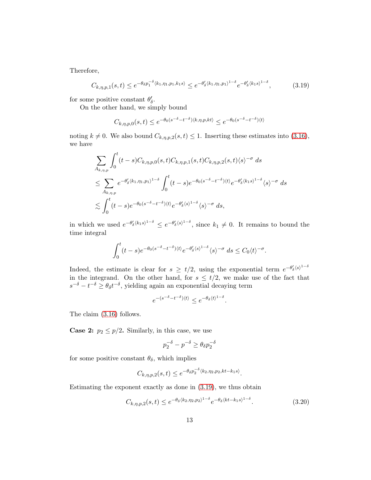Therefore,

<span id="page-12-0"></span>
$$
C_{k,\eta,p,1}(s,t) \le e^{-\theta_{\delta} p_1^{-\delta} \langle k_1, \eta_1, p_1, k_1 s \rangle} \le e^{-\theta'_{\delta} \langle k_1, \eta_1, p_1 \rangle^{1-\delta}} e^{-\theta'_{\delta} \langle k_1 s \rangle^{1-\delta}}, \tag{3.19}
$$

for some positive constant  $\theta'_{\delta}$ .

On the other hand, we simply bound

$$
C_{k,\eta,p,0}(s,t)\leq e^{-\theta_0(s^{-\delta}-t^{-\delta})\langle k,\eta,p,kt\rangle}\leq e^{-\theta_0(s^{-\delta}-t^{-\delta})\langle t\rangle}
$$

noting  $k \neq 0$ . We also bound  $C_{k,\eta,p,2}(s,t) \leq 1$ . Inserting these estimates into [\(3.16\)](#page-10-1), we have

$$
\sum_{A_{k,\eta,p}} \int_0^t (t-s)C_{k,\eta,p,0}(s,t)C_{k,\eta,p,1}(s,t)C_{k,\eta,p,2}(s,t)\langle s\rangle^{-\sigma} ds
$$
\n
$$
\leq \sum_{A_{k,\eta,p}} e^{-\theta'_{\delta}\langle k_1,\eta_1,p_1\rangle^{1-\delta}} \int_0^t (t-s)e^{-\theta_0(s^{-\delta}-t^{-\delta})\langle t\rangle}e^{-\theta'_{\delta}\langle k_1s\rangle^{1-\delta}}\langle s\rangle^{-\sigma} ds
$$
\n
$$
\lesssim \int_0^t (t-s)e^{-\theta_0(s^{-\delta}-t^{-\delta})\langle t\rangle}e^{-\theta'_{\delta}\langle s\rangle^{1-\delta}}\langle s\rangle^{-\sigma} ds,
$$

in which we used  $e^{-\theta'_\delta (k_1 s)^{1-\delta}} \leq e^{-\theta'_\delta (s)^{1-\delta}}$ , since  $k_1 \neq 0$ . It remains to bound the time integral

$$
\int_0^t (t-s)e^{-\theta_0(s^{-\delta}-t^{-\delta})\langle t\rangle}e^{-\theta'_\delta\langle s\rangle^{1-\delta}}\langle s\rangle^{-\sigma}\ ds\leq C_0\langle t\rangle^{-\sigma}.
$$

Indeed, the estimate is clear for  $s \geq t/2$ , using the exponential term  $e^{-\theta'_{\delta}(s)^{1-\delta}}$ in the integrand. On the other hand, for  $s \leq t/2$ , we make use of the fact that  $s^{-\delta} - t^{-\delta} \ge \theta_{\delta} t^{-\delta}$ , yielding again an exponential decaying term

$$
e^{-(s^{-\delta}-t^{-\delta})\langle t \rangle} \le e^{-\theta_\delta \langle t \rangle^{1-\delta}}.
$$

The claim [\(3.16\)](#page-10-1) follows.

**Case 2:**  $p_2 \leq p/2$ . Similarly, in this case, we use

$$
p_2^{-\delta} - p^{-\delta} \ge \theta_{\delta} p_2^{-\delta}
$$

for some positive constant  $\theta_{\delta}$ , which implies

$$
C_{k,\eta,p,2}(s,t) \le e^{-\theta_{\delta} p_2^{-\delta} \langle k_2, \eta_2, p_2, kt - k_1 s \rangle}.
$$

Estimating the exponent exactly as done in [\(3.19\)](#page-12-0), we thus obtain

<span id="page-12-1"></span>
$$
C_{k,\eta,p,2}(s,t) \le e^{-\theta_{\delta}\langle k_2,\eta_2,p_2\rangle^{1-\delta}} e^{-\theta_{\delta}\langle kt - k_1s\rangle^{1-\delta}}.
$$
\n(3.20)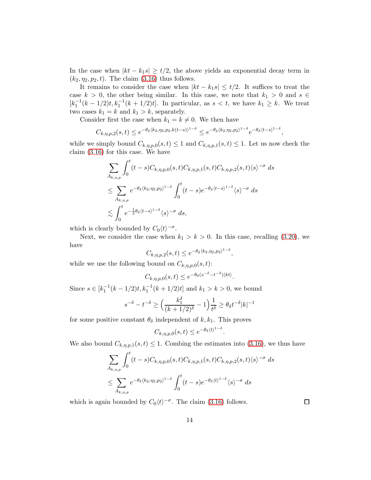In the case when  $|kt - k_1s| \geq t/2$ , the above yields an exponential decay term in  $(k_2, \eta_2, p_2, t)$ . The claim  $(3.16)$  thus follows.

It remains to consider the case when  $|kt - k_1s| \leq t/2$ . It suffices to treat the case  $k > 0$ , the other being similar. In this case, we note that  $k_1 > 0$  and  $s \in$  $[k_1^{-1}(k-1/2)t, k_1^{-1}(k+1/2)t]$ . In particular, as  $s < t$ , we have  $k_1 \geq k$ . We treat two cases  $k_1 = k$  and  $k_1 > k$ , separately.

Consider first the case when  $k_1 = k \neq 0$ . We then have

$$
C_{k,\eta,p,2}(s,t)\leq e^{-\theta_\delta\langle k_2,\eta_2,p_2,k(t-s)\rangle^{1-\delta}}\leq e^{-\theta_\delta\langle k_2,\eta_2,p_2\rangle^{1-\delta}}e^{-\theta_\delta\langle t-s\rangle^{1-\delta}},
$$

while we simply bound  $C_{k,\eta,p,0}(s,t) \leq 1$  and  $C_{k,\eta,p,1}(s,t) \leq 1$ . Let us now check the claim [\(3.16\)](#page-10-1) for this case. We have

$$
\sum_{A_{k,\eta,p}} \int_0^t (t-s)C_{k,\eta,p,0}(s,t)C_{k,\eta,p,1}(s,t)C_{k,\eta,p,2}(s,t)\langle s\rangle^{-\sigma} ds
$$
\n
$$
\leq \sum_{A_{k,\eta,p}} e^{-\theta_\delta\langle k_2,\eta_2,p_2\rangle^{1-\delta}} \int_0^t (t-s)e^{-\theta_\delta\langle t-s\rangle^{1-\delta}}\langle s\rangle^{-\sigma} ds
$$
\n
$$
\lesssim \int_0^t e^{-\frac{1}{2}\theta_\delta\langle t-s\rangle^{1-\delta}}\langle s\rangle^{-\sigma} ds,
$$

which is clearly bounded by  $C_0 \langle t \rangle^{-\sigma}$ .

Next, we consider the case when  $k_1 > k > 0$ . In this case, recalling [\(3.20\)](#page-12-1), we have

$$
C_{k,\eta,p,2}(s,t) \leq e^{-\theta_{\delta}\langle k_2,\eta_2,p_2\rangle^{1-\delta}},
$$

while we use the following bound on  $C_{k,\eta,p,0}(s,t)$ :

$$
C_{k,\eta,p,0}(s,t) \le e^{-\theta_0(s^{-\delta}-t^{-\delta})\langle kt\rangle}.
$$

Since  $s \in [k_1^{-1}(k-1/2)t, k_1^{-1}(k+1/2)t]$  and  $k_1 > k > 0$ , we bound

$$
s^{-\delta} - t^{-\delta} \ge \left(\frac{k_1^{\delta}}{(k+1/2)^{\delta}} - 1\right) \frac{1}{t^{\delta}} \ge \theta_{\delta} t^{-\delta} |k|^{-1}
$$

for some positive constant  $\theta_{\delta}$  independent of k, k<sub>1</sub>. This proves

$$
C_{k,\eta,p,0}(s,t) \leq e^{-\theta_{\delta} \langle t \rangle^{1-\delta}}.
$$

We also bound  $C_{k,\eta,p,1}(s,t) \leq 1$ . Combing the estimates into [\(3.16\)](#page-10-1), we thus have

$$
\sum_{A_{k,\eta,p}} \int_0^t (t-s)C_{k,\eta,p,0}(s,t)C_{k,\eta,p,1}(s,t)C_{k,\eta,p,2}(s,t)\langle s\rangle^{-\sigma} ds
$$
  

$$
\leq \sum_{A_{k,\eta,p}} e^{-\theta_\delta\langle k_2,\eta_2,p_2\rangle^{1-\delta}} \int_0^t (t-s)e^{-\theta_\delta\langle t\rangle^{1-\delta}}\langle s\rangle^{-\sigma} ds
$$

which is again bounded by  $C_0 \langle t \rangle^{-\sigma}$ . The claim [\(3.16\)](#page-10-1) follows.

 $\Box$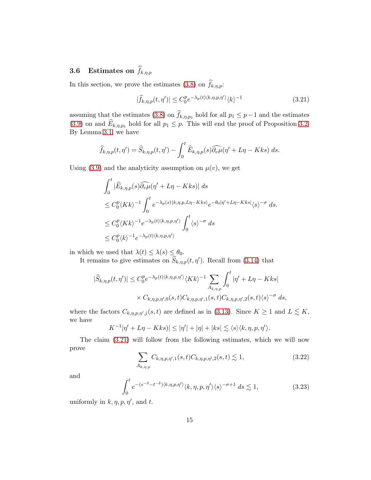## **3.6** Estimates on  $\widehat{f}_{k,\eta,p}$

In this section, we prove the estimates [\(3.8\)](#page-7-1) on  $f_{k,\eta,p}$ :

<span id="page-14-0"></span>
$$
|\widehat{f}_{k,\eta,p}(t,\eta')| \le C_0^p e^{-\lambda_p(t)\langle k,\eta,p,\eta'\rangle} \langle k\rangle^{-1}
$$
\n(3.21)

assuming that the estimates [\(3.8\)](#page-7-1) on  $f_{k,\eta,p_1}$  hold for all  $p_1 \leq p-1$  and the estimates [\(3.9\)](#page-7-0) on and  $E_{k,\eta,p_1}$  hold for all  $p_1 \leq p$ . This will end the proof of Proposition [3.2.](#page-7-2) By Lemma [3.1,](#page-6-3) we have

$$
\widehat{f}_{k,\eta,p}(t,\eta') = \widehat{S}_{k,\eta,p}(t,\eta') - \int_0^t \widehat{E}_{k,\eta,p}(s)\widehat{\partial_v\mu}(\eta' + L\eta - Kks) \, ds.
$$

Using [\(3.9\)](#page-7-0) and the analyticity assumption on  $\mu(v)$ , we get

$$
\int_0^t |\widehat{E}_{k,\eta,p}(s)\widehat{\partial_v\mu}(\eta' + L\eta - Kks)| ds
$$
  
\n
$$
\leq C_0^p \langle Kk \rangle^{-1} \int_0^t e^{-\lambda_p(s)\langle k,\eta,p, L\eta - Kks \rangle} e^{-\theta_0|\eta' + L\eta - Kks|} \langle s \rangle^{-\sigma} ds.
$$
  
\n
$$
\leq C_0^p \langle Kk \rangle^{-1} e^{-\lambda_p(t)\langle k,\eta,p,\eta' \rangle} \int_0^t \langle s \rangle^{-\sigma} ds
$$
  
\n
$$
\leq C_0^p \langle k \rangle^{-1} e^{-\lambda_p(t)\langle k,\eta,p,\eta' \rangle}
$$

in which we used that  $\lambda(t) \leq \lambda(s) \leq \theta_0$ .

It remains to give estimates on  $\widehat{S}_{k,\eta,p}(t,\eta')$ . Recall from [\(3.14\)](#page-10-2) that

$$
|\widehat{S}_{k,\eta,p}(t,\eta')| \le C_0^p e^{-\lambda_p(t)\langle k,\eta,p,\eta'\rangle} \langle Kk\rangle^{-1} \sum_{A_{k,\eta,p}} \int_0^t |\eta' + L\eta - Kks|
$$
  
 
$$
\times C_{k,\eta,p,\eta',0}(s,t) C_{k,\eta,p,\eta',1}(s,t) C_{k,\eta,p,\eta',2}(s,t) \langle s \rangle^{-\sigma} ds,
$$

where the factors  $C_{k,\eta,p,\eta',j}(s,t)$  are defined as in [\(3.13\)](#page-10-0). Since  $K \geq 1$  and  $L \lesssim K$ , we have

$$
K^{-1}|\eta' + L\eta - Kks)| \le |\eta'| + |\eta| + |ks| \lesssim \langle s \rangle \langle k, \eta, p, \eta' \rangle.
$$

The claim [\(3.21\)](#page-14-0) will follow from the following estimates, which we will now prove

<span id="page-14-1"></span>
$$
\sum_{A_{k,\eta,p}} C_{k,\eta,p,\eta',1}(s,t) C_{k,\eta,p,\eta',2}(s,t) \lesssim 1,
$$
\n(3.22)

and

<span id="page-14-2"></span>
$$
\int_0^t e^{-(s^{-\delta}-t^{-\delta})\langle k,\eta,p,\eta'\rangle}\langle k,\eta,p,\eta'\rangle\langle s\rangle^{-\sigma+1} ds \lesssim 1,
$$
\n(3.23)

uniformly in  $k, \eta, p, \eta'$ , and t.